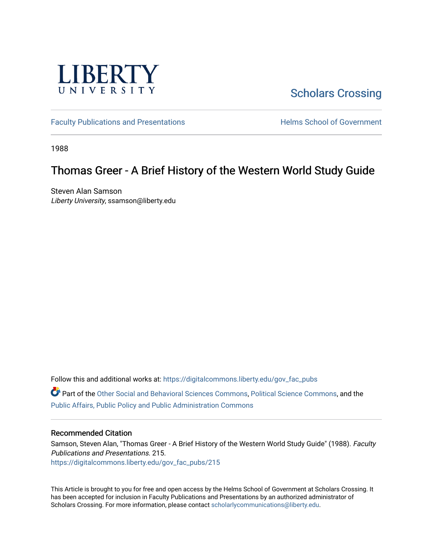

# [Scholars Crossing](https://digitalcommons.liberty.edu/)

[Faculty Publications and Presentations](https://digitalcommons.liberty.edu/gov_fac_pubs) **Exercise School of Government** 

1988

# Thomas Greer - A Brief History of the Western World Study Guide

Steven Alan Samson Liberty University, ssamson@liberty.edu

Follow this and additional works at: [https://digitalcommons.liberty.edu/gov\\_fac\\_pubs](https://digitalcommons.liberty.edu/gov_fac_pubs?utm_source=digitalcommons.liberty.edu%2Fgov_fac_pubs%2F215&utm_medium=PDF&utm_campaign=PDFCoverPages)

Part of the [Other Social and Behavioral Sciences Commons](http://network.bepress.com/hgg/discipline/437?utm_source=digitalcommons.liberty.edu%2Fgov_fac_pubs%2F215&utm_medium=PDF&utm_campaign=PDFCoverPages), [Political Science Commons](http://network.bepress.com/hgg/discipline/386?utm_source=digitalcommons.liberty.edu%2Fgov_fac_pubs%2F215&utm_medium=PDF&utm_campaign=PDFCoverPages), and the [Public Affairs, Public Policy and Public Administration Commons](http://network.bepress.com/hgg/discipline/393?utm_source=digitalcommons.liberty.edu%2Fgov_fac_pubs%2F215&utm_medium=PDF&utm_campaign=PDFCoverPages)

## Recommended Citation

Samson, Steven Alan, "Thomas Greer - A Brief History of the Western World Study Guide" (1988). Faculty Publications and Presentations. 215. [https://digitalcommons.liberty.edu/gov\\_fac\\_pubs/215](https://digitalcommons.liberty.edu/gov_fac_pubs/215?utm_source=digitalcommons.liberty.edu%2Fgov_fac_pubs%2F215&utm_medium=PDF&utm_campaign=PDFCoverPages)

This Article is brought to you for free and open access by the Helms School of Government at Scholars Crossing. It has been accepted for inclusion in Faculty Publications and Presentations by an authorized administrator of Scholars Crossing. For more information, please contact [scholarlycommunications@liberty.edu.](mailto:scholarlycommunications@liberty.edu)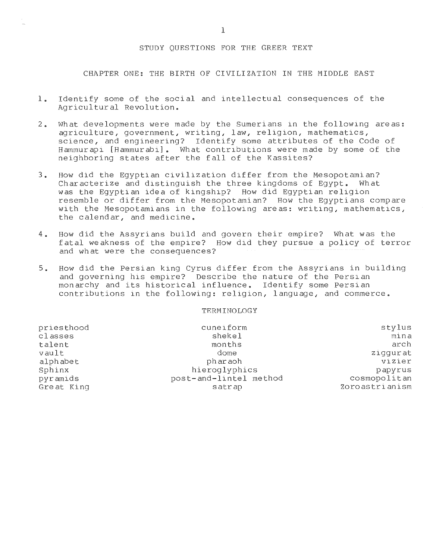## STUDY QUESTIONS FOR THE GREER TEXT

CHAPTER ONE: THE BIRTH OF CIVILIZATION IN THE MIDDLE EAST

- 1. Identify some of the social and intellectual consequences of the Agricultural Revolution.
- 2. What developments were made by the Sumerians in the following areas: agriculture, government, writing, law, religion, mathematics, science, and engineering? Identify some attributes of the Code of Hammurapi [Hammurabi]. What contrlbutions were made by some of the neighboring states after the fall of the Kassites?
- 3. How did the Egyptian civilization differ from the Mesopotamian?<br>Characterize and distinguish the three kingdoms of Egypt. What Characterize and distinguish the three kingdoms of Egypt. was the Egyptian idea of kingship? How did Egyptian religion resemble or differ from the Hesopotamian? How the Egyptians compare with the Mesopotamians in the following areas: writing, mathematics, the calendar, and medicine.
- 4. How did the Assyrians build and govern their empire? What was the fatal weakness of the empire? How did they pursue a policy of terror and what were the consequences?
- 5. How did the Persian klng Cyrus dlffer from the Assyrians in building and governing his empire? Describe the nature of the Persian monarchy and its historical influence. Identify some Persian contributions In the following: religion, language, and commerce.

| priesthood | cuneiform              | stylus         |
|------------|------------------------|----------------|
| classes    | shekel                 | mina           |
| talent     | months                 | arch           |
| vault      | dome                   | ziggurat       |
| alphabet   | pharaoh                | vizier         |
| Sphinx     | hieroglyphics          | papyrus        |
| pyramids   | post-and-lintel method | cosmopolitan   |
| Great King | satrap                 | Zoroastrianism |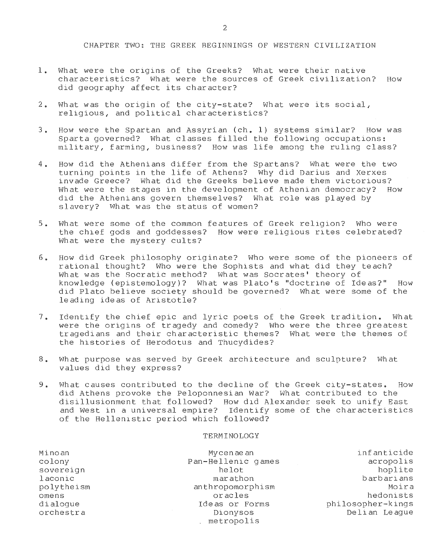CHAPTER TWO: THE GREEK BEGINNINGS OF WESTERN CIVILIZATION

- 1. What were the origins of the Greeks? What were their native characteristics? What were the sources of Greek civilization? How did geography affect its character?
- 2. What was the origin of the city-state? What were its social, rellgious, and political characteristics?
- 3. How were the Spartan and Assyrian (ch. 1) systems similar? How was Sparta governed? What classes filled the following occupations: military, farming, business? How was life among the ruling class?
- 4. How did the Athenians differ from the Spartans? What were the two turning points in the life of Athens? Why did Darius and Xerxes invade Greece? What did the Greeks believe made them victorious? What were the stages in the development of Athenian democracy? How did the Athenians govern themselves? What role was played by slavery? What was the status of women?
- 5. What were some of the common features of Greek rellgion? Who were the chlef gods and goddesses? How were religious rites celebrated? What were the mystery cults?
- 6. How did Greek philosophy originate? Who were some of the pioneers of rational thought? Who were the Sophists and what did they teach? What was the Socratic method? What was Socrates' theory of knowledge (epistemology)? What was Plato's "doctrine of Ideas?" How did Plato believe society should be governed? What were some of the leading ideas of Aristotle?
- 7. Identify the chief epic and lyric poets of the Greek tradition. What were the origins of tragedy and comedy? Who were the three greatest tragedians and their characteristic themes? What were the themes of the histories of Herodotus and Thucydides?
- 8. What purpose was served by Greek architecture and sculpture? What values did they express?
- 9. What causes contributed to the decline of the Greek city-states. How did Athens provoke the Peloponnesian War? What contributed to the disillusionment that followed? How dld Alexander seek to unify East and West in a universal empire? Identify some of the characteristics of the Hellenistic period which followed?

| Minoan     | My cen ae an           | infanticide       |
|------------|------------------------|-------------------|
| colony     | Pan-Hellenic games     | acropolis         |
| sovereign  | helot                  | hoplite           |
| laconic    | marathon               | barbarians        |
| polytheism | anthropomorphism       | Moira             |
| omens      | oracles                | hedonists         |
| dialoque   | Ideas or Forms         | philosopher-kings |
| orchestra  | Dionysos<br>metropolis | Delian League     |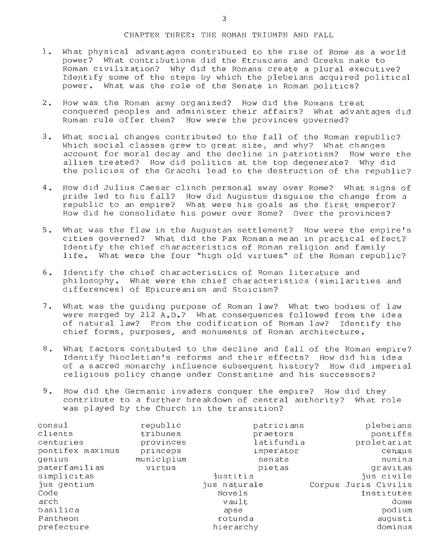## CHAPTER THREE: THE ROMAN TRIUMPH AND FALL

- 1. What physical advantages contributed to the rise of Rome as a world<br>power? What contributions did the Etruscans and Greeks make to What contributions did the Etruscans and Greeks make to Roman civillzation? why did the Romans create a plural executive? Identify some of the steps by which the plebeians acquired political power. What was the role of the Senate in Roman politics?
- 2. How was the Roman army organized? How did the Romans treat conquered peoples and administer their affairs? What advantages did Roman rule offer them? How were the provinces governed?
- 3. What social changes contributed to the fall of the Roman republic? Which social classes grew to great size, and why? What changes account for moral decay and the decline in patriotism? How were the allies treated? How did politics at the top degenerate? Why did the policies of the Gracchi lead to the destruction of the republic?
- 4. How did Julius Caesar clinch personal sway over Rome? What signs of pride led to his fall? How did Augustus disguise the change from a republic to an empire? What were his goals as the first emperor? How did he consolidate his power over Rome? Over the provinces?
- 5. What was the flaw in the Augustan settlement? How were the empire's cities governed? What did the Pax Romana mean in practical effect? Identify the chief characteristics of Roman religion and family<br>life. What were the four "high old virtues" of the Roman repub What were the four "high old virtues" of the Roman republic?
- 6. Identify the chief characteristics of Roman literature and philosophy. What were the chief characteristics (similarities and dlfferences) of Epicureanism and Stoicism?
- 7. What was the guiding purpose of Roman law? What two bodies of law were merged by 212 A.D.? What consequences followed from the idea of natural law? From the codification of Roman law? Identify the chief forms, purposes, and monuments of Roman architecture.
- 8. What factors contlbuted to the decline and fall of the Roman emplre? Identify niocletian's reforms and their effects? How did his idea of a sacred monarchy influence subsequent history? How did imperial religlous policy change under Constantine and his successors?
- 9. How did the Germanic invaders conquer the empire? How did they contribute to a further breakdown of central authority? What role was played by the Church in the transition?

| const1<br>clients<br>centuries | republic<br>tribunes<br>provinces | patricians<br>praetors<br>latifundia | plebeians<br>pontiffs<br>proletariat |
|--------------------------------|-----------------------------------|--------------------------------------|--------------------------------------|
| pontifex maximus               | princeps                          | imperator                            | census                               |
| genius                         | municipium                        | senate                               | numina                               |
| paterfamilias                  | virtus                            | pietas                               | gravitas                             |
| simplicitas                    |                                   | justitia                             | jus civile                           |
| jus gentium                    |                                   | jus naturale                         | Corpus Juris Civilis                 |
| Code                           |                                   | Novels                               | Institutes                           |
| arch                           |                                   | vault                                | dome                                 |
| basilica                       |                                   | apse                                 | podium                               |
| Pantheon                       |                                   | rotunda                              | augusti                              |
| prefecture                     |                                   | hierarchy                            | dominus                              |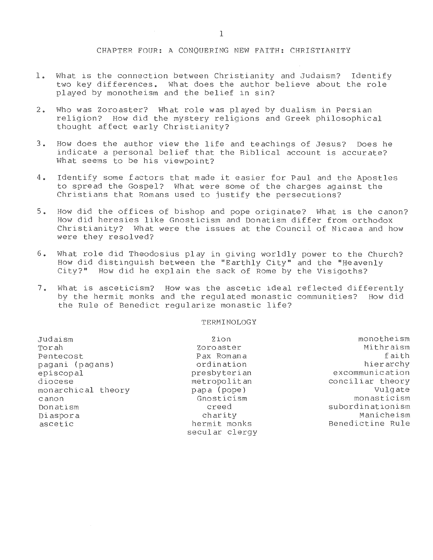## CHAPTER FOUR: A CONQUERING NEW FAITH: CHRISTIANITY

- 1. What is the connection between Christianity and Judaism? Identify two key differences. What does the author believe about the role played by monotheism and the belief in sin?
- 2. who was Zoroaster? What role was played by dualism in Persian religion? How did the mystery religions and Greek philosophical thought affect early Christianity?
- 3. How does the author view the life and teachings of Jesus? Does he indicate a personal belief that the Biblical account is accurate? What seems to be his viewpoint?
- 4. Identify some factors that made it easier for Paul and the Apostles to spread the Gospel? What were Some of the charges against the Christians that Romans used to justify the persecutions?
- 5. How did the offices of bishop and pope originate? What is the canon? How did heresies like Gnosticism and Donatism differ from orthodox Christianity? What were the issues at the Council of Nicaea and how were they resolved?
- 6. What role did Theodosius play in giving worldly power to the Church? How did distinguish between the "Earthly City" and the "Heavenly City?" How did he explain the sack of Rome by the Visigoths?
- 7. What is asceticism? How was the ascetic ideal reflected differently by the hermit monks and the regulated monastic communities? How did the Rule of Benedict regularize monastic life?

| Judaism            | Zion           | monotheism       |
|--------------------|----------------|------------------|
| Torah              | Zoroaster      | Mithraism        |
| Pentecost          | Pax Romana     | faith            |
| pagani (pagans)    | ordination     | hierarchy        |
| episcopal          | presbyterian   | excommunication  |
| diocese            | metropolitan   | conciliar theory |
| monarchical theory | papa (pope)    | Vulgate          |
| canon              | Gnosticism     | monasticism      |
| Donatism           | creed          | subordinationism |
| Diaspora           | charity        | Manicheism       |
| ascetic            | hermit monks   | Benedictine Rule |
|                    | secular clergy |                  |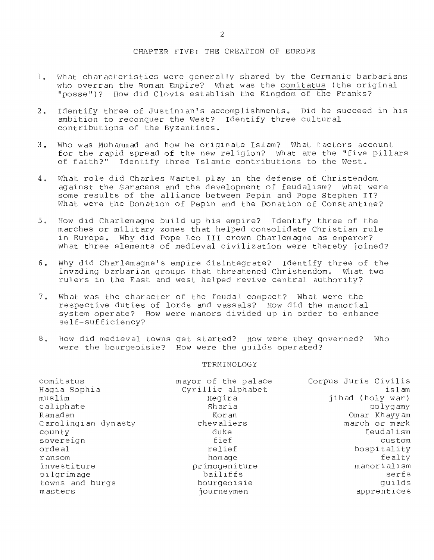## CHAPTER FIVE: THE CREATION OF EUROPE

- 1. What characteristics were generally shared by the Germanic barbarians who overran the Roman Empire? What was the comitatus (the original "posse")? How did Clovis establish the Kingdom of the Franks?
- 2. Identify three of Justinian's accomplishments. Did he succeed in his ambition to reconquer the West? Identify three cultural contributions of the Byzantines.
- 3. Who was Muhammad and how he originate Islam? What f actors account for the rapid spread of the new religion? What are the "five pillars of faith?" Identify three Islamic contributions to the West.
- 4. What role did Charles Martel play in the defense of Christendom against the Saracens and the development of feudalism? What were some results of the alliance between Pepin and Pope Stephen II? What were the Donation of Pepin and the Donation of Constantine?
- 5. How did Charlemagne build up his empire? Identify three of the marches or military zones that helped consolidate Christian rule in Europe. Why did Pope Leo III crown Charlemagne as emperor? What three elements of medieval civilization were thereby joined?
- 6. Why did Charlemagne's empire disintegrate? Identify three of the invading barbarian groups that threatened Christendom. What two rulers in the East and west helped revive central authority?
- 7. What was the character of the feudal compact? What were the respective duties of lords and vassals? How did the manorial system operate? How were manors divided up in order to enhance self-sufficiency?
- 8. How did medieval towns get started? How were they governed? Who were the bourgeoisie? How were the guilds operated?

| comitatus<br>Hagia Sophia<br>muslim<br>caliphate | mayor of the palace<br>Cyrillic alphabet<br>Hegira<br>Sharia | Corpus Juris Civilis<br>islam<br>jihad (holy war)<br>polygamy |
|--------------------------------------------------|--------------------------------------------------------------|---------------------------------------------------------------|
| Ramadan                                          | Koran                                                        | Omar Khayyam                                                  |
| Carolingian dynasty                              | chevaliers                                                   | march or mark                                                 |
| county                                           | duke                                                         | feudalism                                                     |
| sovereign                                        | fief                                                         | custom                                                        |
| ordeal                                           | relief                                                       | hospitality                                                   |
| ransom                                           | homage                                                       | fealty                                                        |
| investiture                                      | primogeniture                                                | manorialism                                                   |
| pilgrimage                                       | bailiffs                                                     | serfs                                                         |
| towns and burgs                                  | bourgeoisie                                                  | quilds                                                        |
| masters                                          | journeymen                                                   | apprentices                                                   |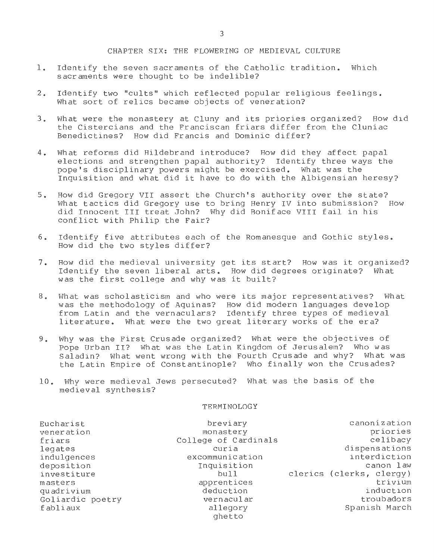### CHAPTER SIX: THE FLOWERING OF MEDIEVAL CULTURE

- 1. Identify the seven sacraments of the Catholic tradition. Which sacraments were thought to be indelible?
- 2. Identify two "cults" which reflected popular religious feelings. What sort of relics became objects of veneration?
- 3. What were the monastery at Cluny and lts priories organized? How dld the Cistercians and the Franciscan friars differ from the Cluniac Benedictines? How did Francis and Dominic differ?
- 4. What reforms did Hildebrand introduce? How did they affect papal elections and strengthen papal authority? Identify three ways the pope's disciplinary powers might be exercised. What was the Inquisition and what did it have to do with the Albigensian heresy?
- 5. How did Gregory VII assert the Church's authority over the state?<br>What tactics did Gregory use to bring Henry TV into submission? How What tactics did Gregory use to bring Henry IV into submission? did Innocent III treat John? \A/hy did Boniface VIII fail in his conflict with Philip the Fair?
- 6. Identify five attributes each of the Romanesque and Gothic styles. How did the two styles differ?
- 7. How did the medieval university get its start? How was it organized? Identify the seven liberal arts. How did degrees originate? What was the first college and why was it built?
- 8. What was scholasticism and who were its major representatives? What was the methodology of Aquinas? How did modern languages develop from Latin and the vernaculars? Identify three types of medieval literature. What were the two great literary works of the era?
- 9. Why was the First Crusade organized? What were the objectives of Pope Urban II? What was the Latin Kingdom of Jerusalem? Who was<br>Saladin? What went wrong with the Fourth Crusade and why? What w What went wrong with the Fourth Crusade and why? What was the Latin Empire of Constantinople? Who finally won the Crusades?
- 10. Why were medieval Jews persecuted? What was the basis of the medieval synthesis?

| Eucharist        | breviary             | canonization             |
|------------------|----------------------|--------------------------|
| veneration       | monastery            | priories                 |
| friars           | College of Cardinals | celibacy                 |
| legates          | curia                | dispensations            |
| indulgences      | excommunication      | interdiction             |
| deposition       | Inquisition          | canon law                |
| investiture      | bu11                 | clerics (clerks, clergy) |
| masters          | apprentices          | trivium                  |
| quadrivium       | deduction            | induction                |
| Goliardic poetry | vernacular           | troubadors               |
| fabliaux         | allegory             | Spanish March            |
|                  | ghetto               |                          |